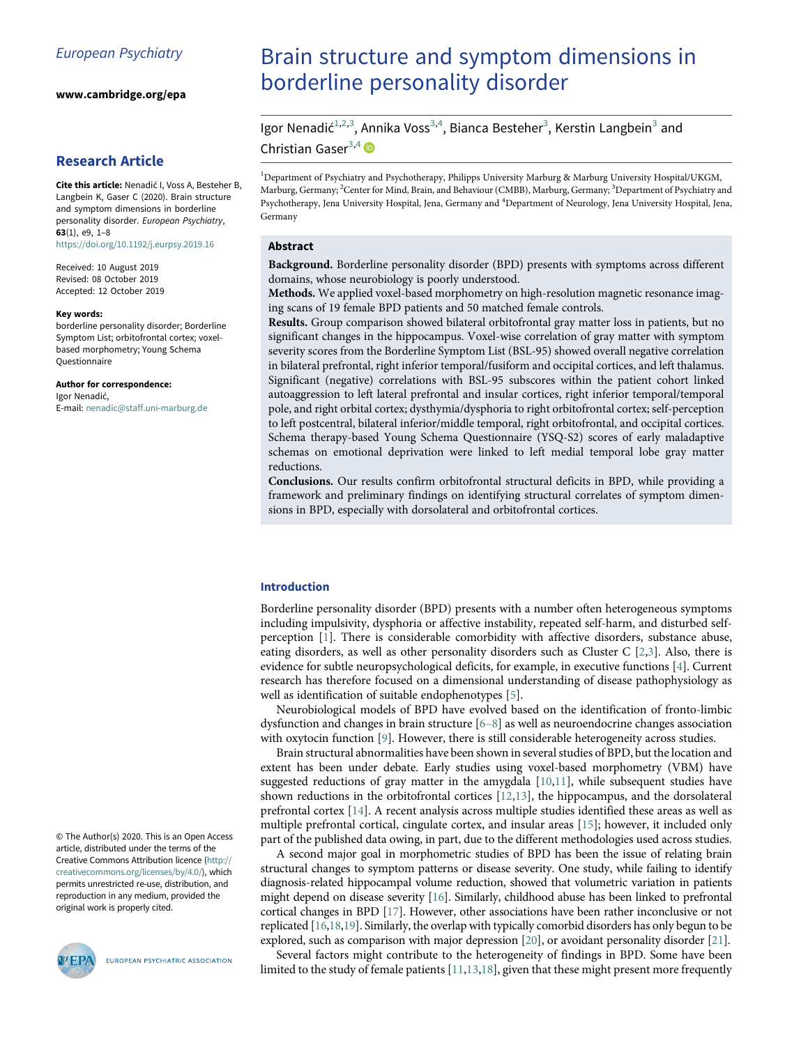www.cambridge.org/epa

# <span id="page-0-0"></span>Research Article

<span id="page-0-2"></span><span id="page-0-1"></span>Cite this article: Nenadić I, Voss A, Besteher B, Langbein K, Gaser C (2020). Brain structure and symptom dimensions in borderline personality disorder. European Psychiatry, 63(1), e9, 1–8 <https://doi.org/10.1192/j.eurpsy.2019.16>

Received: 10 August 2019 Revised: 08 October 2019 Accepted: 12 October 2019

#### Key words:

borderline personality disorder; Borderline Symptom List; orbitofrontal cortex; voxelbased morphometry; Young Schema Questionnaire

#### Author for correspondence:

Igor Nenadić, E-mail: [nenadic@staff.uni-marburg.de](mailto:nenadic@staff.uni�-marburg�.de)

© The Author(s) 2020. This is an Open Access article, distributed under the terms of the Creative Commons Attribution licence [\(http://](http://creativecommons.org/licenses/by/�4.0/) [creativecommons.org/licenses/by/4.0/](http://creativecommons.org/licenses/by/�4.0/)), which permits unrestricted re-use, distribution, and reproduction in any medium, provided the original work is properly cited.



EUROPEAN PSYCHIATRIC ASSOCIATION

# Brain structure and symptom dimensions in borderline personality disorder

Igor Nenadić<sup>[1](#page-0-0)[,2](#page-0-1),[3](#page-0-1)</sup>, Annika Voss<sup>3[,4](#page-0-2)</sup>, Bianca Besteher<sup>3</sup>, Kerstin Langbein<sup>3</sup> and Christian Gaser $^{3,4}$  $^{3,4}$  $^{3,4}$  $^{3,4}$ 

1 Department of Psychiatry and Psychotherapy, Philipps University Marburg & Marburg University Hospital/UKGM, Marburg, Germany; <sup>2</sup>Center for Mind, Brain, and Behaviour (CMBB), Marburg, Germany; <sup>3</sup>Department of Psychiatry and Psychotherapy, Jena University Hospital, Jena, Germany and <sup>4</sup>Department of Neurology, Jena University Hospital, Jena, Germany

#### Abstract

Background. Borderline personality disorder (BPD) presents with symptoms across different domains, whose neurobiology is poorly understood.

Methods. We applied voxel-based morphometry on high-resolution magnetic resonance imaging scans of 19 female BPD patients and 50 matched female controls.

Results. Group comparison showed bilateral orbitofrontal gray matter loss in patients, but no significant changes in the hippocampus. Voxel-wise correlation of gray matter with symptom severity scores from the Borderline Symptom List (BSL-95) showed overall negative correlation in bilateral prefrontal, right inferior temporal/fusiform and occipital cortices, and left thalamus. Significant (negative) correlations with BSL-95 subscores within the patient cohort linked autoaggression to left lateral prefrontal and insular cortices, right inferior temporal/temporal pole, and right orbital cortex; dysthymia/dysphoria to right orbitofrontal cortex; self-perception to left postcentral, bilateral inferior/middle temporal, right orbitofrontal, and occipital cortices. Schema therapy-based Young Schema Questionnaire (YSQ-S2) scores of early maladaptive schemas on emotional deprivation were linked to left medial temporal lobe gray matter reductions.

Conclusions. Our results confirm orbitofrontal structural deficits in BPD, while providing a framework and preliminary findings on identifying structural correlates of symptom dimensions in BPD, especially with dorsolateral and orbitofrontal cortices.

## Introduction

Borderline personality disorder (BPD) presents with a number often heterogeneous symptoms including impulsivity, dysphoria or affective instability, repeated self-harm, and disturbed selfperception [\[1\]](#page-5-0). There is considerable comorbidity with affective disorders, substance abuse, eating disorders, as well as other personality disorders such as Cluster C [\[2,](#page-5-1)[3](#page-5-2)]. Also, there is evidence for subtle neuropsychological deficits, for example, in executive functions [[4](#page-5-3)]. Current research has therefore focused on a dimensional understanding of disease pathophysiology as well as identification of suitable endophenotypes [\[5\]](#page-5-4).

Neurobiological models of BPD have evolved based on the identification of fronto-limbic dysfunction and changes in brain structure  $[6-8]$  as well as neuroendocrine changes association with oxytocin function [[9](#page-6-0)]. However, there is still considerable heterogeneity across studies.

Brain structural abnormalities have been shown in several studies of BPD, but the location and extent has been under debate. Early studies using voxel-based morphometry (VBM) have suggested reductions of gray matter in the amygdala [[10,](#page-6-1)[11](#page-6-2)], while subsequent studies have shown reductions in the orbitofrontal cortices [[12,](#page-6-3)[13\]](#page-6-4), the hippocampus, and the dorsolateral prefrontal cortex [\[14](#page-6-5)]. A recent analysis across multiple studies identified these areas as well as multiple prefrontal cortical, cingulate cortex, and insular areas [[15\]](#page-6-6); however, it included only part of the published data owing, in part, due to the different methodologies used across studies.

A second major goal in morphometric studies of BPD has been the issue of relating brain structural changes to symptom patterns or disease severity. One study, while failing to identify diagnosis-related hippocampal volume reduction, showed that volumetric variation in patients might depend on disease severity [\[16](#page-6-7)]. Similarly, childhood abuse has been linked to prefrontal cortical changes in BPD [[17\]](#page-6-8). However, other associations have been rather inconclusive or not replicated [\[16,](#page-6-7)[18,](#page-6-9)[19\]](#page-6-10). Similarly, the overlap with typically comorbid disorders has only begun to be explored, such as comparison with major depression [[20\]](#page-6-11), or avoidant personality disorder [\[21](#page-6-12)].

Several factors might contribute to the heterogeneity of findings in BPD. Some have been limited to the study of female patients [[11](#page-6-2)[,13](#page-6-4)[,18](#page-6-9)], given that these might present more frequently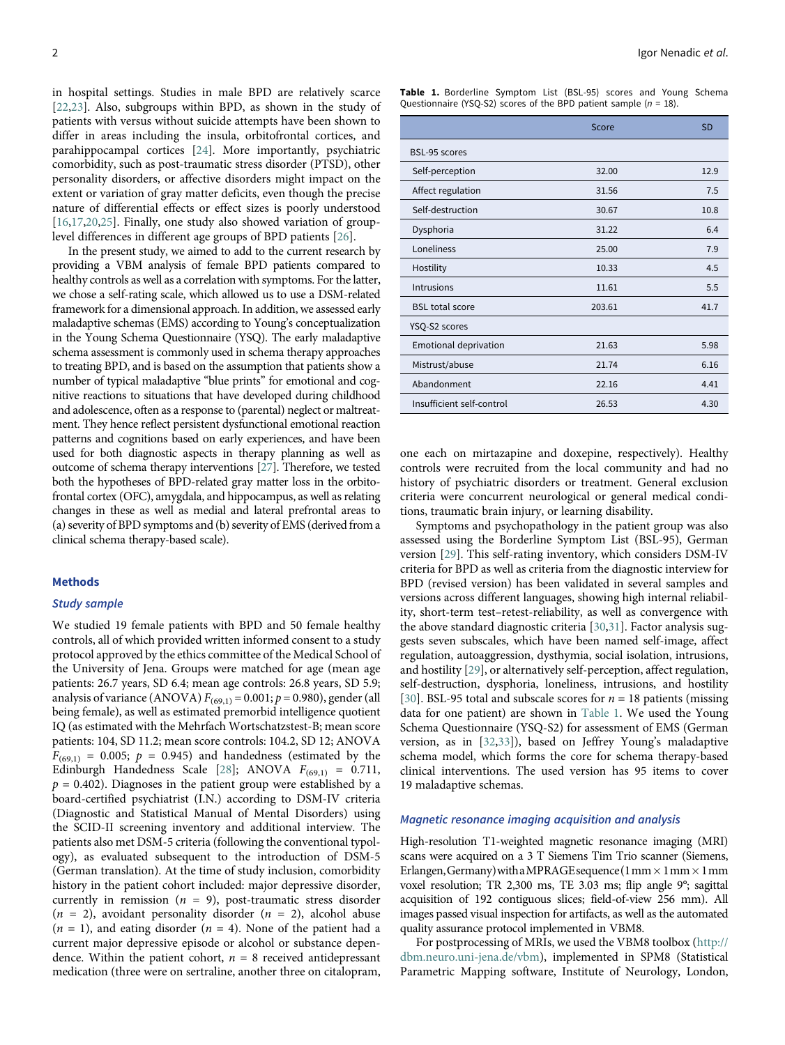<span id="page-1-0"></span>in hospital settings. Studies in male BPD are relatively scarce [[22](#page-6-13)[,23](#page-6-14)]. Also, subgroups within BPD, as shown in the study of patients with versus without suicide attempts have been shown to differ in areas including the insula, orbitofrontal cortices, and parahippocampal cortices [[24](#page-6-15)]. More importantly, psychiatric comorbidity, such as post-traumatic stress disorder (PTSD), other personality disorders, or affective disorders might impact on the extent or variation of gray matter deficits, even though the precise nature of differential effects or effect sizes is poorly understood [[16](#page-6-7)[,17](#page-6-8)[,20](#page-6-11)[,25](#page-6-16)]. Finally, one study also showed variation of grouplevel differences in different age groups of BPD patients [[26\]](#page-6-17).

In the present study, we aimed to add to the current research by providing a VBM analysis of female BPD patients compared to healthy controls as well as a correlation with symptoms. For the latter, we chose a self-rating scale, which allowed us to use a DSM-related framework for a dimensional approach. In addition, we assessed early maladaptive schemas (EMS) according to Young's conceptualization in the Young Schema Questionnaire (YSQ). The early maladaptive schema assessment is commonly used in schema therapy approaches to treating BPD, and is based on the assumption that patients show a number of typical maladaptive "blue prints" for emotional and cognitive reactions to situations that have developed during childhood and adolescence, often as a response to (parental) neglect or maltreatment. They hence reflect persistent dysfunctional emotional reaction patterns and cognitions based on early experiences, and have been used for both diagnostic aspects in therapy planning as well as outcome of schema therapy interventions [\[27\]](#page-6-2). Therefore, we tested both the hypotheses of BPD-related gray matter loss in the orbitofrontal cortex (OFC), amygdala, and hippocampus, as well as relating changes in these as well as medial and lateral prefrontal areas to (a) severity of BPD symptoms and (b) severity of EMS (derived from a clinical schema therapy-based scale).

#### **Methods**

#### Study sample

We studied 19 female patients with BPD and 50 female healthy controls, all of which provided written informed consent to a study protocol approved by the ethics committee of the Medical School of the University of Jena. Groups were matched for age (mean age patients: 26.7 years, SD 6.4; mean age controls: 26.8 years, SD 5.9; analysis of variance (ANOVA)  $F_{(69,1)} = 0.001$ ;  $p = 0.980$ ), gender (all being female), as well as estimated premorbid intelligence quotient IQ (as estimated with the Mehrfach Wortschatzstest-B; mean score patients: 104, SD 11.2; mean score controls: 104.2, SD 12; ANOVA  $F_{(69,1)} = 0.005$ ;  $p = 0.945$ ) and handedness (estimated by the Edinburgh Handedness Scale [[28\]](#page-6-18); ANOVA  $F_{(69,1)} = 0.711$ ,  $p = 0.402$ ). Diagnoses in the patient group were established by a board-certified psychiatrist (I.N.) according to DSM-IV criteria (Diagnostic and Statistical Manual of Mental Disorders) using the SCID-II screening inventory and additional interview. The patients also met DSM-5 criteria (following the conventional typology), as evaluated subsequent to the introduction of DSM-5 (German translation). At the time of study inclusion, comorbidity history in the patient cohort included: major depressive disorder, currently in remission ( $n = 9$ ), post-traumatic stress disorder  $(n = 2)$ , avoidant personality disorder  $(n = 2)$ , alcohol abuse  $(n = 1)$ , and eating disorder  $(n = 4)$ . None of the patient had a current major depressive episode or alcohol or substance dependence. Within the patient cohort,  $n = 8$  received antidepressant medication (three were on sertraline, another three on citalopram,

|  | <b>Table 1.</b> Borderline Symptom List (BSL-95) scores and Young Schema |  |  |  |  |
|--|--------------------------------------------------------------------------|--|--|--|--|
|  | Questionnaire (YSQ-S2) scores of the BPD patient sample $(n = 18)$ .     |  |  |  |  |

|                              | Score  | <b>SD</b> |
|------------------------------|--------|-----------|
| BSL-95 scores                |        |           |
| Self-perception              | 32.00  | 12.9      |
| Affect regulation            | 31.56  | 7.5       |
| Self-destruction             | 30.67  | 10.8      |
| Dysphoria                    | 31.22  | 6.4       |
| Loneliness                   | 25.00  | 7.9       |
| Hostility                    | 10.33  | 4.5       |
| <b>Intrusions</b>            | 11.61  | 5.5       |
| <b>BSL total score</b>       | 203.61 | 41.7      |
| YSQ-S2 scores                |        |           |
| <b>Emotional deprivation</b> | 21.63  | 5.98      |
| Mistrust/abuse               | 21.74  | 6.16      |
| Abandonment                  | 22.16  | 4.41      |
| Insufficient self-control    | 26.53  | 4.30      |

one each on mirtazapine and doxepine, respectively). Healthy controls were recruited from the local community and had no history of psychiatric disorders or treatment. General exclusion criteria were concurrent neurological or general medical conditions, traumatic brain injury, or learning disability.

Symptoms and psychopathology in the patient group was also assessed using the Borderline Symptom List (BSL-95), German version [\[29](#page-6-19)]. This self-rating inventory, which considers DSM-IV criteria for BPD as well as criteria from the diagnostic interview for BPD (revised version) has been validated in several samples and versions across different languages, showing high internal reliability, short-term test–retest-reliability, as well as convergence with the above standard diagnostic criteria [[30,](#page-6-20)[31\]](#page-6-5). Factor analysis suggests seven subscales, which have been named self-image, affect regulation, autoaggression, dysthymia, social isolation, intrusions, and hostility [\[29](#page-6-19)], or alternatively self-perception, affect regulation, self-destruction, dysphoria, loneliness, intrusions, and hostility [[30](#page-6-20)]. BSL-95 total and subscale scores for  $n = 18$  patients (missing data for one patient) are shown in [Table 1](#page-1-0). We used the Young Schema Questionnaire (YSQ-S2) for assessment of EMS (German version, as in [[32,](#page-6-6)[33](#page-6-21)]), based on Jeffrey Young's maladaptive schema model, which forms the core for schema therapy-based clinical interventions. The used version has 95 items to cover 19 maladaptive schemas.

#### Magnetic resonance imaging acquisition and analysis

High-resolution T1-weighted magnetic resonance imaging (MRI) scans were acquired on a 3 T Siemens Tim Trio scanner (Siemens, Erlangen, Germany) with a MPRAGE sequence  $(1 \text{ mm} \times 1 \text{ mm} \times 1 \text{ mm}$ voxel resolution; TR 2,300 ms, TE 3.03 ms; flip angle 9°; sagittal acquisition of 192 contiguous slices; field-of-view 256 mm). All images passed visual inspection for artifacts, as well as the automated quality assurance protocol implemented in VBM8.

For postprocessing of MRIs, we used the VBM8 toolbox ([http://](http://dbm.neuro.uni-jena.de/vbm) [dbm.neuro.uni-jena.de/vbm\)](http://dbm.neuro.uni-jena.de/vbm), implemented in SPM8 (Statistical Parametric Mapping software, Institute of Neurology, London,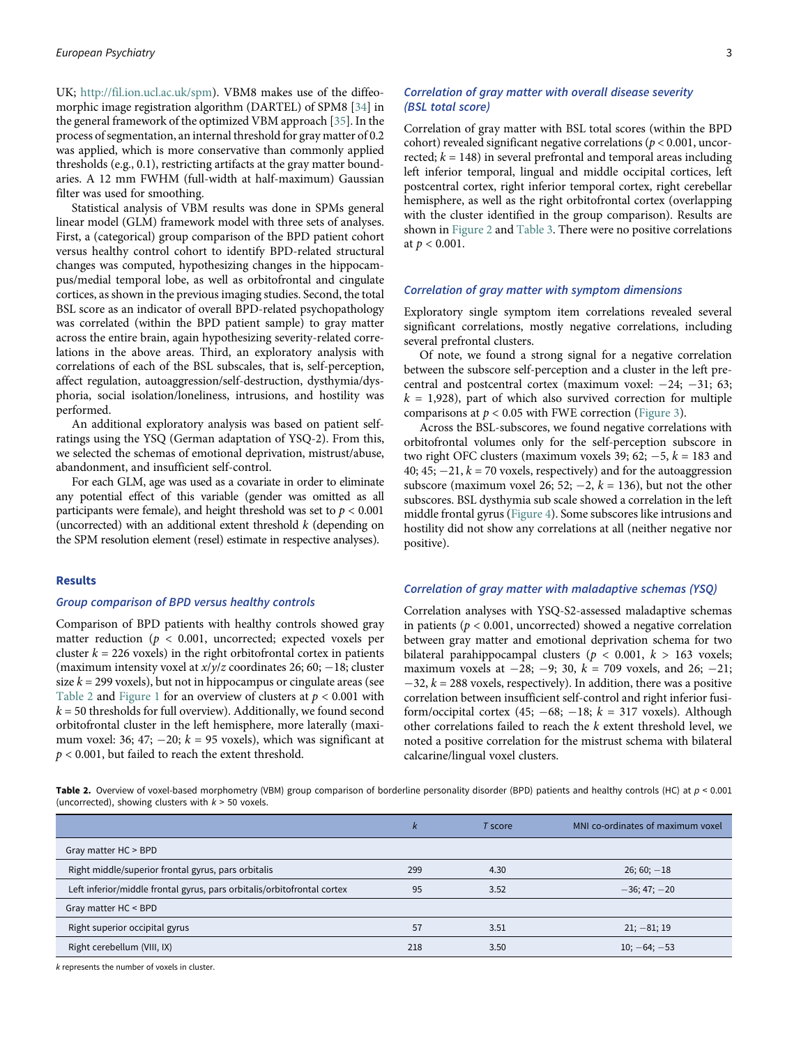UK; <http://fil.ion.ucl.ac.uk/spm>). VBM8 makes use of the diffeomorphic image registration algorithm (DARTEL) of SPM8 [\[34](#page-6-22)] in the general framework of the optimized VBM approach [[35\]](#page-6-23). In the process of segmentation, an internal threshold for gray matter of 0.2 was applied, which is more conservative than commonly applied thresholds (e.g., 0.1), restricting artifacts at the gray matter boundaries. A 12 mm FWHM (full-width at half-maximum) Gaussian filter was used for smoothing.

Statistical analysis of VBM results was done in SPMs general linear model (GLM) framework model with three sets of analyses. First, a (categorical) group comparison of the BPD patient cohort versus healthy control cohort to identify BPD-related structural changes was computed, hypothesizing changes in the hippocampus/medial temporal lobe, as well as orbitofrontal and cingulate cortices, as shown in the previous imaging studies. Second, the total BSL score as an indicator of overall BPD-related psychopathology was correlated (within the BPD patient sample) to gray matter across the entire brain, again hypothesizing severity-related correlations in the above areas. Third, an exploratory analysis with correlations of each of the BSL subscales, that is, self-perception, affect regulation, autoaggression/self-destruction, dysthymia/dysphoria, social isolation/loneliness, intrusions, and hostility was performed.

An additional exploratory analysis was based on patient selfratings using the YSQ (German adaptation of YSQ-2). From this, we selected the schemas of emotional deprivation, mistrust/abuse, abandonment, and insufficient self-control.

For each GLM, age was used as a covariate in order to eliminate any potential effect of this variable (gender was omitted as all participants were female), and height threshold was set to  $p < 0.001$ (uncorrected) with an additional extent threshold  $k$  (depending on the SPM resolution element (resel) estimate in respective analyses).

#### Results

## Group comparison of BPD versus healthy controls

Comparison of BPD patients with healthy controls showed gray matter reduction ( $p < 0.001$ , uncorrected; expected voxels per cluster  $k = 226$  voxels) in the right orbitofrontal cortex in patients (maximum intensity voxel at  $x/y/z$  coordinates 26; 60; -18; cluster size  $k = 299$  voxels), but not in hippocampus or cingulate areas (see [Table 2](#page-2-0) and [Figure 1](#page-3-0) for an overview of clusters at  $p < 0.001$  with  $k = 50$  thresholds for full overview). Additionally, we found second orbitofrontal cluster in the left hemisphere, more laterally (maximum voxel: 36; 47; -20;  $k = 95$  voxels), which was significant at  $p < 0.001$ , but failed to reach the extent threshold.

## Correlation of gray matter with overall disease severity (BSL total score)

Correlation of gray matter with BSL total scores (within the BPD cohort) revealed significant negative correlations ( $p < 0.001$ , uncorrected;  $k = 148$ ) in several prefrontal and temporal areas including left inferior temporal, lingual and middle occipital cortices, left postcentral cortex, right inferior temporal cortex, right cerebellar hemisphere, as well as the right orbitofrontal cortex (overlapping with the cluster identified in the group comparison). Results are shown in [Figure 2](#page-4-0) and [Table 3.](#page-4-1) There were no positive correlations at  $p < 0.001$ .

#### Correlation of gray matter with symptom dimensions

Exploratory single symptom item correlations revealed several significant correlations, mostly negative correlations, including several prefrontal clusters.

Of note, we found a strong signal for a negative correlation between the subscore self-perception and a cluster in the left precentral and postcentral cortex (maximum voxel:  $-24$ ;  $-31$ ; 63;  $k = 1,928$ , part of which also survived correction for multiple comparisons at  $p < 0.05$  with FWE correction ([Figure 3\)](#page-4-2).

Across the BSL-subscores, we found negative correlations with orbitofrontal volumes only for the self-perception subscore in two right OFC clusters (maximum voxels 39;  $62$ ;  $-5$ ,  $k = 183$  and 40; 45;  $-21$ ,  $k = 70$  voxels, respectively) and for the autoaggression subscore (maximum voxel 26; 52;  $-2$ ,  $k = 136$ ), but not the other subscores. BSL dysthymia sub scale showed a correlation in the left middle frontal gyrus ([Figure 4](#page-5-5)). Some subscores like intrusions and hostility did not show any correlations at all (neither negative nor positive).

## Correlation of gray matter with maladaptive schemas (YSQ)

Correlation analyses with YSQ-S2-assessed maladaptive schemas in patients ( $p < 0.001$ , uncorrected) showed a negative correlation between gray matter and emotional deprivation schema for two bilateral parahippocampal clusters ( $p < 0.001$ ,  $k > 163$  voxels; maximum voxels at  $-28$ ;  $-9$ ; 30,  $k = 709$  voxels, and 26;  $-21$ ;  $-32$ ,  $k = 288$  voxels, respectively). In addition, there was a positive correlation between insufficient self-control and right inferior fusiform/occipital cortex (45;  $-68$ ;  $-18$ ;  $k = 317$  voxels). Although other correlations failed to reach the k extent threshold level, we noted a positive correlation for the mistrust schema with bilateral calcarine/lingual voxel clusters.

<span id="page-2-0"></span>Table 2. Overview of voxel-based morphometry (VBM) group comparison of borderline personality disorder (BPD) patients and healthy controls (HC) at  $p < 0.001$ (uncorrected), showing clusters with  $k > 50$  voxels.

|                                                                         | ı,<br>n | T score | MNI co-ordinates of maximum voxel |
|-------------------------------------------------------------------------|---------|---------|-----------------------------------|
| Gray matter HC > BPD                                                    |         |         |                                   |
| Right middle/superior frontal gyrus, pars orbitalis                     | 299     | 4.30    | $26; 60; -18$                     |
| Left inferior/middle frontal gyrus, pars orbitalis/orbitofrontal cortex | 95      | 3.52    | $-36; 47; -20$                    |
| Gray matter HC < BPD                                                    |         |         |                                   |
| Right superior occipital gyrus                                          | 57      | 3.51    | $21; -81; 19$                     |
| Right cerebellum (VIII, IX)                                             | 218     | 3.50    | $10; -64; -53$                    |

k represents the number of voxels in cluster.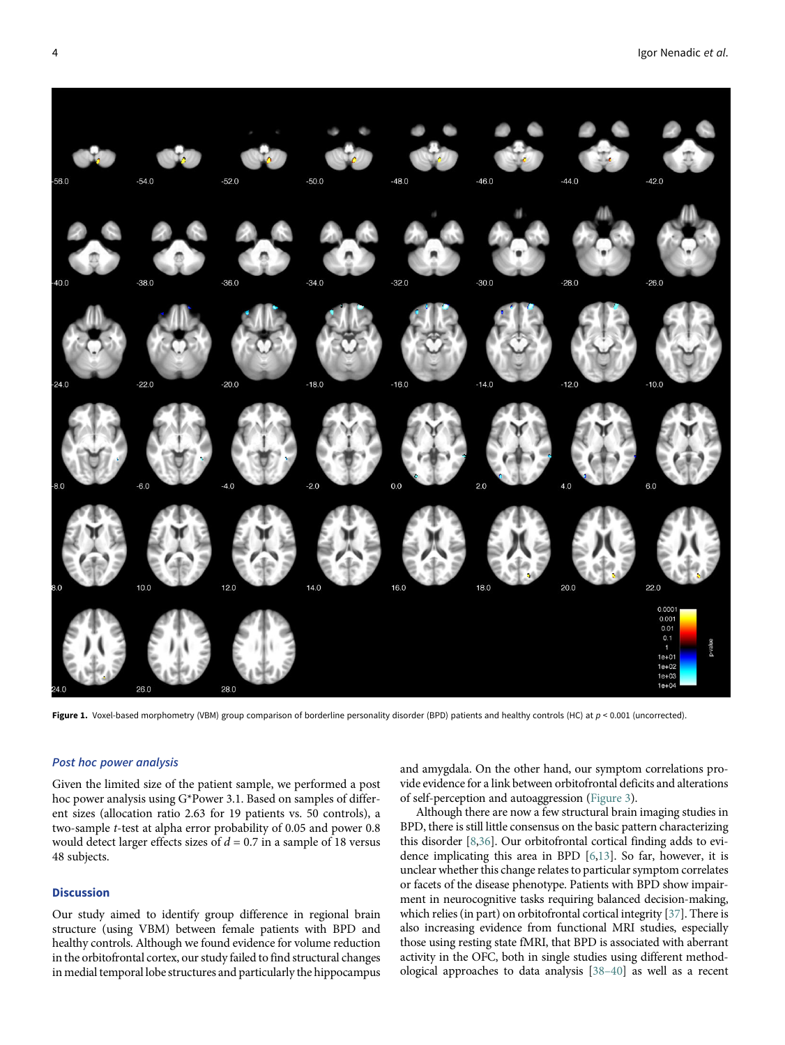<span id="page-3-0"></span>

Figure 1. Voxel-based morphometry (VBM) group comparison of borderline personality disorder (BPD) patients and healthy controls (HC) at  $p < 0.001$  (uncorrected).

## Post hoc power analysis

Given the limited size of the patient sample, we performed a post hoc power analysis using G\*Power 3.1. Based on samples of different sizes (allocation ratio 2.63 for 19 patients vs. 50 controls), a two-sample t-test at alpha error probability of 0.05 and power 0.8 would detect larger effects sizes of  $d = 0.7$  in a sample of 18 versus 48 subjects.

#### **Discussion**

Our study aimed to identify group difference in regional brain structure (using VBM) between female patients with BPD and healthy controls. Although we found evidence for volume reduction in the orbitofrontal cortex, our study failed to find structural changes in medial temporal lobe structures and particularly the hippocampus and amygdala. On the other hand, our symptom correlations provide evidence for a link between orbitofrontal deficits and alterations of self-perception and autoaggression [\(Figure 3\)](#page-4-2).

Although there are now a few structural brain imaging studies in BPD, there is still little consensus on the basic pattern characterizing this disorder [[8](#page-6-24)[,36](#page-6-25)]. Our orbitofrontal cortical finding adds to evidence implicating this area in BPD [\[6,](#page-6-14)[13\]](#page-6-4). So far, however, it is unclear whether this change relates to particular symptom correlates or facets of the disease phenotype. Patients with BPD show impairment in neurocognitive tasks requiring balanced decision-making, which relies (in part) on orbitofrontal cortical integrity [\[37](#page-6-26)]. There is also increasing evidence from functional MRI studies, especially those using resting state fMRI, that BPD is associated with aberrant activity in the OFC, both in single studies using different methodological approaches to data analysis [38–40] as well as a recent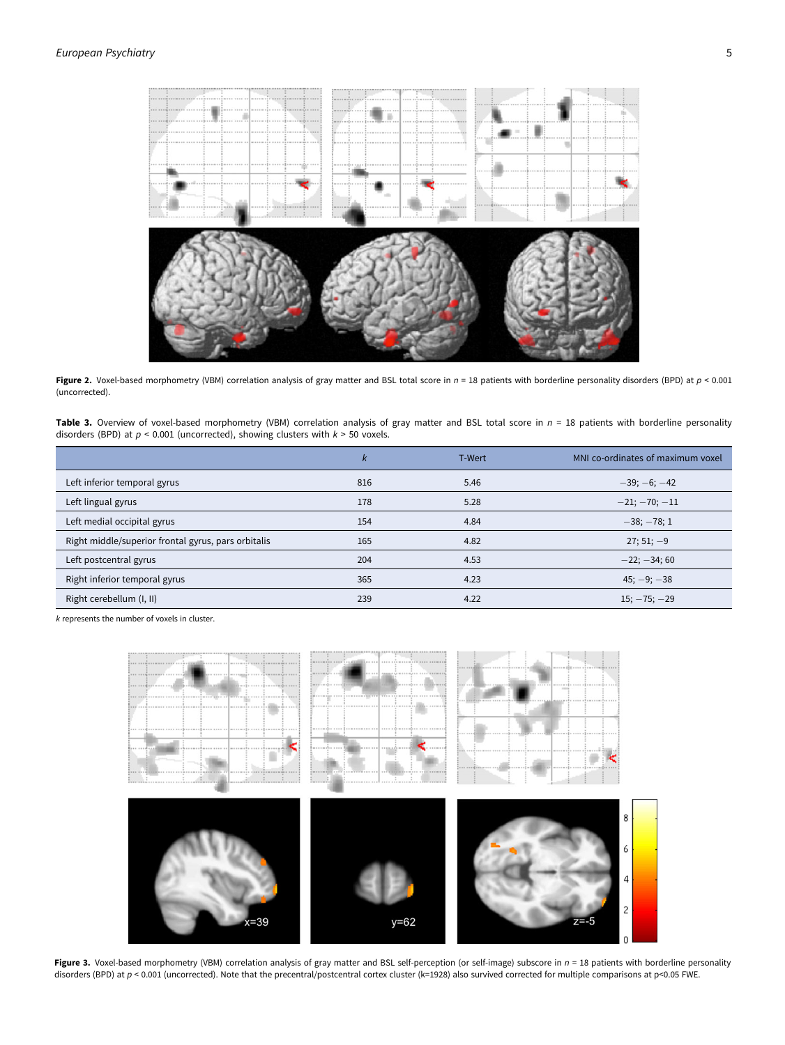<span id="page-4-0"></span>

Figure 2. Voxel-based morphometry (VBM) correlation analysis of gray matter and BSL total score in  $n = 18$  patients with borderline personality disorders (BPD) at  $p < 0.001$ (uncorrected).

<span id="page-4-1"></span>Table 3. Overview of voxel-based morphometry (VBM) correlation analysis of gray matter and BSL total score in  $n = 18$  patients with borderline personality disorders (BPD) at  $p < 0.001$  (uncorrected), showing clusters with  $k > 50$  voxels.

|                                                     | k   | T-Wert | MNI co-ordinates of maximum voxel |
|-----------------------------------------------------|-----|--------|-----------------------------------|
| Left inferior temporal gyrus                        | 816 | 5.46   | $-39; -6; -42$                    |
| Left lingual gyrus                                  | 178 | 5.28   | $-21; -70; -11$                   |
| Left medial occipital gyrus                         | 154 | 4.84   | $-38$ ; $-78$ ; 1                 |
| Right middle/superior frontal gyrus, pars orbitalis | 165 | 4.82   | $27:51:-9$                        |
| Left postcentral gyrus                              | 204 | 4.53   | $-22; -34; 60$                    |
| Right inferior temporal gyrus                       | 365 | 4.23   | $45; -9; -38$                     |
| Right cerebellum (I, II)                            | 239 | 4.22   | $15; -75; -29$                    |

<span id="page-4-2"></span>k represents the number of voxels in cluster.



Figure 3. Voxel-based morphometry (VBM) correlation analysis of gray matter and BSL self-perception (or self-image) subscore in  $n = 18$  patients with borderline personality disorders (BPD) at p < 0.001 (uncorrected). Note that the precentral/postcentral cortex cluster (k=1928) also survived corrected for multiple comparisons at p<0.05 FWE.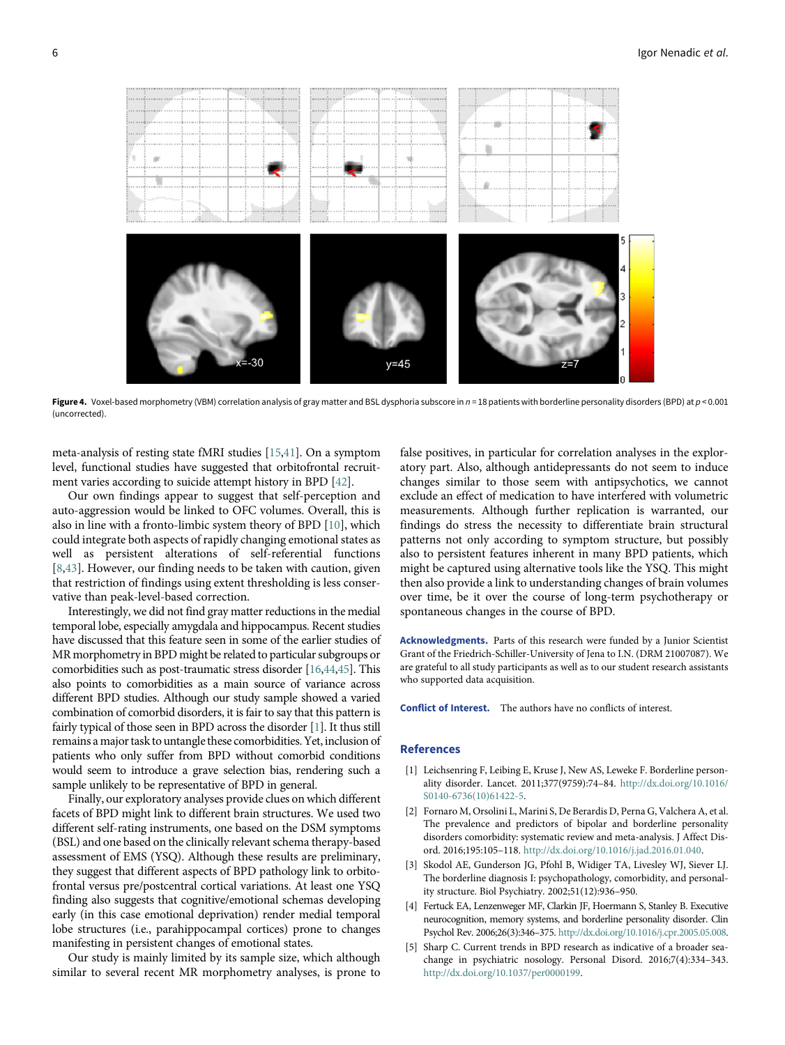<span id="page-5-5"></span>

Figure 4. Voxel-based morphometry (VBM) correlation analysis of gray matter and BSL dysphoria subscore in  $n = 18$  patients with borderline personality disorders (BPD) at  $p < 0.001$ (uncorrected).

meta-analysis of resting state fMRI studies [\[15](#page-6-6)[,41](#page-7-0)]. On a symptom level, functional studies have suggested that orbitofrontal recruitment varies according to suicide attempt history in BPD [[42\]](#page-7-1).

Our own findings appear to suggest that self-perception and auto-aggression would be linked to OFC volumes. Overall, this is also in line with a fronto-limbic system theory of BPD [\[10](#page-6-1)], which could integrate both aspects of rapidly changing emotional states as well as persistent alterations of self-referential functions [[8](#page-6-24),[43\]](#page-7-2). However, our finding needs to be taken with caution, given that restriction of findings using extent thresholding is less conservative than peak-level-based correction.

Interestingly, we did not find gray matter reductions in the medial temporal lobe, especially amygdala and hippocampus. Recent studies have discussed that this feature seen in some of the earlier studies of MR morphometry in BPD might be related to particular subgroups or comorbidities such as post-traumatic stress disorder [[16,](#page-6-7)[44](#page-7-3)[,45](#page-7-4)]. This also points to comorbidities as a main source of variance across different BPD studies. Although our study sample showed a varied combination of comorbid disorders, it is fair to say that this pattern is fairly typical of those seen in BPD across the disorder [\[1\]](#page-5-0). It thus still remains a major task to untangle these comorbidities. Yet, inclusion of patients who only suffer from BPD without comorbid conditions would seem to introduce a grave selection bias, rendering such a sample unlikely to be representative of BPD in general.

<span id="page-5-2"></span><span id="page-5-1"></span><span id="page-5-0"></span>Finally, our exploratory analyses provide clues on which different facets of BPD might link to different brain structures. We used two different self-rating instruments, one based on the DSM symptoms (BSL) and one based on the clinically relevant schema therapy-based assessment of EMS (YSQ). Although these results are preliminary, they suggest that different aspects of BPD pathology link to orbitofrontal versus pre/postcentral cortical variations. At least one YSQ finding also suggests that cognitive/emotional schemas developing early (in this case emotional deprivation) render medial temporal lobe structures (i.e., parahippocampal cortices) prone to changes manifesting in persistent changes of emotional states.

<span id="page-5-4"></span><span id="page-5-3"></span>Our study is mainly limited by its sample size, which although similar to several recent MR morphometry analyses, is prone to false positives, in particular for correlation analyses in the exploratory part. Also, although antidepressants do not seem to induce changes similar to those seem with antipsychotics, we cannot exclude an effect of medication to have interfered with volumetric measurements. Although further replication is warranted, our findings do stress the necessity to differentiate brain structural patterns not only according to symptom structure, but possibly also to persistent features inherent in many BPD patients, which might be captured using alternative tools like the YSQ. This might then also provide a link to understanding changes of brain volumes over time, be it over the course of long-term psychotherapy or spontaneous changes in the course of BPD.

Acknowledgments. Parts of this research were funded by a Junior Scientist Grant of the Friedrich-Schiller-University of Jena to I.N. (DRM 21007087). We are grateful to all study participants as well as to our student research assistants who supported data acquisition.

Conflict of Interest. The authors have no conflicts of interest.

#### References

- [1] Leichsenring F, Leibing E, Kruse J, New AS, Leweke F. Borderline personality disorder. Lancet. 2011;377(9759):74–84. [http://dx.doi.org/10.1016/](http://dx.doi.org/10.1016/S0140-6736(10)61422-5) [S0140-6736\(10\)61422-5](http://dx.doi.org/10.1016/S0140-6736(10)61422-5).
- [2] Fornaro M, Orsolini L, Marini S, De Berardis D, Perna G, Valchera A, et al. The prevalence and predictors of bipolar and borderline personality disorders comorbidity: systematic review and meta-analysis. J Affect Disord. 2016;195:105–118. <http://dx.doi.org/10.1016/j.jad.2016.01.040>.
- [3] Skodol AE, Gunderson JG, Pfohl B, Widiger TA, Livesley WJ, Siever LJ. The borderline diagnosis I: psychopathology, comorbidity, and personality structure. Biol Psychiatry. 2002;51(12):936–950.
- [4] Fertuck EA, Lenzenweger MF, Clarkin JF, Hoermann S, Stanley B. Executive neurocognition, memory systems, and borderline personality disorder. Clin Psychol Rev. 2006;26(3):346–375. [http://dx.doi.org/10.1016/j.cpr.2005.05.008.](http://dx.doi.org/10.1016/j.cpr.2005.05.008)
- Sharp C. Current trends in BPD research as indicative of a broader seachange in psychiatric nosology. Personal Disord. 2016;7(4):334–343. [http://dx.doi.org/10.1037/per0000199.](http://dx.doi.org/10.1037/per0000199)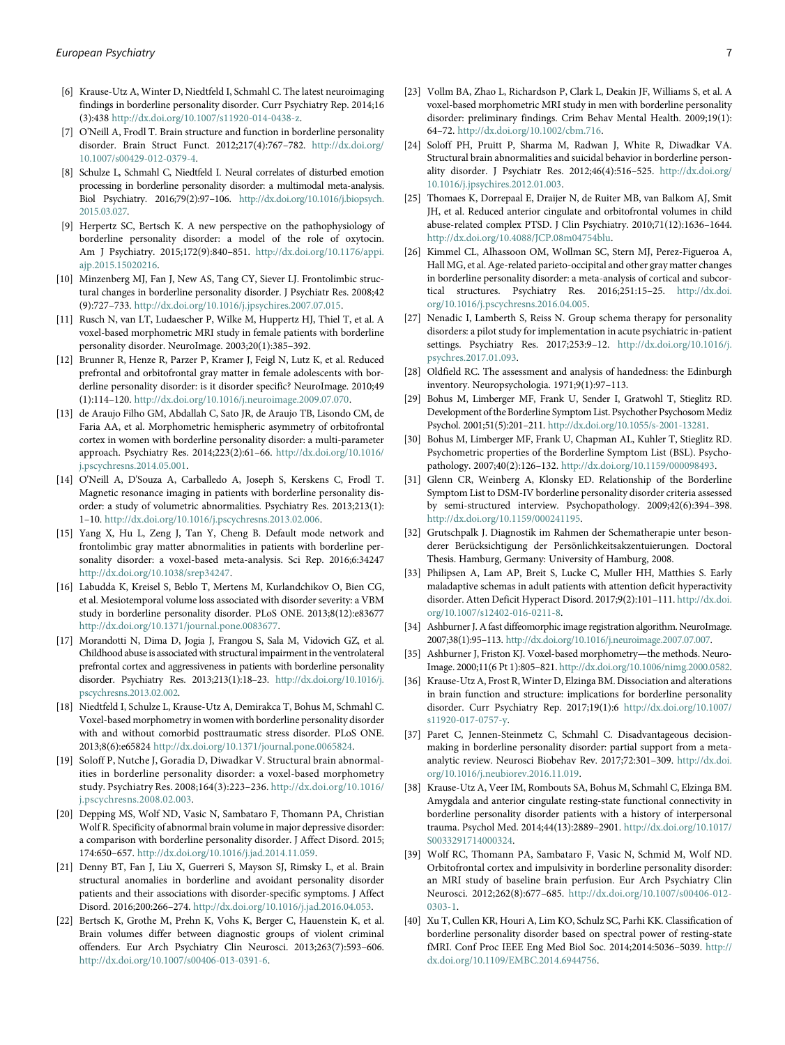- <span id="page-6-14"></span>[6] Krause-Utz A, Winter D, Niedtfeld I, Schmahl C. The latest neuroimaging findings in borderline personality disorder. Curr Psychiatry Rep. 2014;16 (3):438 <http://dx.doi.org/10.1007/s11920-014-0438-z>.
- <span id="page-6-15"></span>[7] O'Neill A, Frodl T. Brain structure and function in borderline personality disorder. Brain Struct Funct. 2012;217(4):767–782. [http://dx.doi.org/](http://dx.doi.org/10.1007/s00429-012-0379-4) [10.1007/s00429-012-0379-4.](http://dx.doi.org/10.1007/s00429-012-0379-4)
- <span id="page-6-24"></span><span id="page-6-16"></span>[8] Schulze L, Schmahl C, Niedtfeld I. Neural correlates of disturbed emotion processing in borderline personality disorder: a multimodal meta-analysis. Biol Psychiatry. 2016;79(2):97–106. [http://dx.doi.org/10.1016/j.biopsych.](http://dx.doi.org/10.1016/j.biopsych.2015.03.027) [2015.03.027](http://dx.doi.org/10.1016/j.biopsych.2015.03.027).
- <span id="page-6-17"></span><span id="page-6-0"></span>[9] Herpertz SC, Bertsch K. A new perspective on the pathophysiology of borderline personality disorder: a model of the role of oxytocin. Am J Psychiatry. 2015;172(9):840–851. [http://dx.doi.org/10.1176/appi.](http://dx.doi.org/10.1176/appi.ajp.2015.15020216) [ajp.2015.15020216](http://dx.doi.org/10.1176/appi.ajp.2015.15020216).
- <span id="page-6-1"></span>[10] Minzenberg MJ, Fan J, New AS, Tang CY, Siever LJ. Frontolimbic structural changes in borderline personality disorder. J Psychiatr Res. 2008;42 (9):727–733. [http://dx.doi.org/10.1016/j.jpsychires.2007.07.015.](http://dx.doi.org/10.1016/j.jpsychires.2007.07.015)
- <span id="page-6-2"></span>[11] Rusch N, van LT, Ludaescher P, Wilke M, Huppertz HJ, Thiel T, et al. A voxel-based morphometric MRI study in female patients with borderline personality disorder. NeuroImage. 2003;20(1):385–392.
- <span id="page-6-18"></span><span id="page-6-3"></span>[12] Brunner R, Henze R, Parzer P, Kramer J, Feigl N, Lutz K, et al. Reduced prefrontal and orbitofrontal gray matter in female adolescents with borderline personality disorder: is it disorder specific? NeuroImage. 2010;49 (1):114–120. <http://dx.doi.org/10.1016/j.neuroimage.2009.07.070>.
- <span id="page-6-20"></span><span id="page-6-19"></span><span id="page-6-4"></span>[13] de Araujo Filho GM, Abdallah C, Sato JR, de Araujo TB, Lisondo CM, de Faria AA, et al. Morphometric hemispheric asymmetry of orbitofrontal cortex in women with borderline personality disorder: a multi-parameter approach. Psychiatry Res. 2014;223(2):61–66. [http://dx.doi.org/10.1016/](http://dx.doi.org/10.1016/j.pscychresns.2014.05.001) [j.pscychresns.2014.05.001](http://dx.doi.org/10.1016/j.pscychresns.2014.05.001).
- <span id="page-6-5"></span>[14] O'Neill A, D'Souza A, Carballedo A, Joseph S, Kerskens C, Frodl T. Magnetic resonance imaging in patients with borderline personality disorder: a study of volumetric abnormalities. Psychiatry Res. 2013;213(1): 1–10. [http://dx.doi.org/10.1016/j.pscychresns.2013.02.006.](http://dx.doi.org/10.1016/j.pscychresns.2013.02.006)
- <span id="page-6-21"></span><span id="page-6-6"></span>[15] Yang X, Hu L, Zeng J, Tan Y, Cheng B. Default mode network and frontolimbic gray matter abnormalities in patients with borderline personality disorder: a voxel-based meta-analysis. Sci Rep. 2016;6:34247 [http://dx.doi.org/10.1038/srep34247.](http://dx.doi.org/10.1038/srep34247)
- <span id="page-6-22"></span><span id="page-6-7"></span>[16] Labudda K, Kreisel S, Beblo T, Mertens M, Kurlandchikov O, Bien CG, et al. Mesiotemporal volume loss associated with disorder severity: a VBM study in borderline personality disorder. PLoS ONE. 2013;8(12):e83677 [http://dx.doi.org/10.1371/journal.pone.0083677.](http://dx.doi.org/10.1371/journal.pone.0083677)
- <span id="page-6-25"></span><span id="page-6-23"></span><span id="page-6-8"></span>[17] Morandotti N, Dima D, Jogia J, Frangou S, Sala M, Vidovich GZ, et al. Childhood abuse is associated with structural impairment in the ventrolateral prefrontal cortex and aggressiveness in patients with borderline personality disorder. Psychiatry Res. 2013;213(1):18–23. [http://dx.doi.org/10.1016/j.](http://dx.doi.org/10.1016/j.pscychresns.2013.02.002) [pscychresns.2013.02.002.](http://dx.doi.org/10.1016/j.pscychresns.2013.02.002)
- <span id="page-6-26"></span><span id="page-6-9"></span>[18] Niedtfeld I, Schulze L, Krause-Utz A, Demirakca T, Bohus M, Schmahl C. Voxel-based morphometry in women with borderline personality disorder with and without comorbid posttraumatic stress disorder. PLoS ONE. 2013;8(6):e65824 <http://dx.doi.org/10.1371/journal.pone.0065824>.
- <span id="page-6-10"></span>[19] Soloff P, Nutche J, Goradia D, Diwadkar V. Structural brain abnormalities in borderline personality disorder: a voxel-based morphometry study. Psychiatry Res. 2008;164(3):223–236. [http://dx.doi.org/10.1016/](http://dx.doi.org/10.1016/j.pscychresns.2008.02.003) [j.pscychresns.2008.02.003](http://dx.doi.org/10.1016/j.pscychresns.2008.02.003).
- <span id="page-6-11"></span>[20] Depping MS, Wolf ND, Vasic N, Sambataro F, Thomann PA, Christian Wolf R. Specificity of abnormal brain volume in major depressive disorder: a comparison with borderline personality disorder. J Affect Disord. 2015; 174:650–657. <http://dx.doi.org/10.1016/j.jad.2014.11.059>.
- <span id="page-6-12"></span>[21] Denny BT, Fan J, Liu X, Guerreri S, Mayson SJ, Rimsky L, et al. Brain structural anomalies in borderline and avoidant personality disorder patients and their associations with disorder-specific symptoms. J Affect Disord. 2016;200:266–274. [http://dx.doi.org/10.1016/j.jad.2016.04.053.](http://dx.doi.org/10.1016/j.jad.2016.04.053)
- <span id="page-6-13"></span>[22] Bertsch K, Grothe M, Prehn K, Vohs K, Berger C, Hauenstein K, et al. Brain volumes differ between diagnostic groups of violent criminal offenders. Eur Arch Psychiatry Clin Neurosci. 2013;263(7):593–606. <http://dx.doi.org/10.1007/s00406-013-0391-6>.
- [23] Vollm BA, Zhao L, Richardson P, Clark L, Deakin JF, Williams S, et al. A voxel-based morphometric MRI study in men with borderline personality disorder: preliminary findings. Crim Behav Mental Health. 2009;19(1): 64–72. <http://dx.doi.org/10.1002/cbm.716>.
- [24] Soloff PH, Pruitt P, Sharma M, Radwan J, White R, Diwadkar VA. Structural brain abnormalities and suicidal behavior in borderline personality disorder. J Psychiatr Res. 2012;46(4):516–525. [http://dx.doi.org/](http://dx.doi.org/10.1016/j.jpsychires.2012.01.003) [10.1016/j.jpsychires.2012.01.003](http://dx.doi.org/10.1016/j.jpsychires.2012.01.003).
- [25] Thomaes K, Dorrepaal E, Draijer N, de Ruiter MB, van Balkom AJ, Smit JH, et al. Reduced anterior cingulate and orbitofrontal volumes in child abuse-related complex PTSD. J Clin Psychiatry. 2010;71(12):1636–1644. [http://dx.doi.org/10.4088/JCP.08m04754blu.](http://dx.doi.org/10.4088/JCP.08m04754blu)
- [26] Kimmel CL, Alhassoon OM, Wollman SC, Stern MJ, Perez-Figueroa A, Hall MG, et al. Age-related parieto-occipital and other gray matter changes in borderline personality disorder: a meta-analysis of cortical and subcortical structures. Psychiatry Res. 2016;251:15–25. [http://dx.doi.](http://dx.doi.org/10.1016/j.pscychresns.2016.04.005) [org/10.1016/j.pscychresns.2016.04.005.](http://dx.doi.org/10.1016/j.pscychresns.2016.04.005)
- [27] Nenadic I, Lamberth S, Reiss N. Group schema therapy for personality disorders: a pilot study for implementation in acute psychiatric in-patient settings. Psychiatry Res. 2017;253:9–12. [http://dx.doi.org/10.1016/j.](http://dx.doi.org/10.1016/j.psychres.2017.01.093) [psychres.2017.01.093.](http://dx.doi.org/10.1016/j.psychres.2017.01.093)
- [28] Oldfield RC. The assessment and analysis of handedness: the Edinburgh inventory. Neuropsychologia. 1971;9(1):97–113.
- [29] Bohus M, Limberger MF, Frank U, Sender I, Gratwohl T, Stieglitz RD. Development of the Borderline Symptom List. Psychother Psychosom Mediz Psychol. 2001;51(5):201–211. <http://dx.doi.org/10.1055/s-2001-13281>.
- [30] Bohus M, Limberger MF, Frank U, Chapman AL, Kuhler T, Stieglitz RD. Psychometric properties of the Borderline Symptom List (BSL). Psychopathology. 2007;40(2):126–132. <http://dx.doi.org/10.1159/000098493>.
- [31] Glenn CR, Weinberg A, Klonsky ED. Relationship of the Borderline Symptom List to DSM-IV borderline personality disorder criteria assessed by semi-structured interview. Psychopathology. 2009;42(6):394–398. [http://dx.doi.org/10.1159/000241195.](http://dx.doi.org/10.1159/000241195)
- [32] Grutschpalk J. Diagnostik im Rahmen der Schematherapie unter besonderer Berücksichtigung der Persönlichkeitsakzentuierungen. Doctoral Thesis. Hamburg, Germany: University of Hamburg, 2008.
- [33] Philipsen A, Lam AP, Breit S, Lucke C, Muller HH, Matthies S. Early maladaptive schemas in adult patients with attention deficit hyperactivity disorder. Atten Deficit Hyperact Disord. 2017;9(2):101–111. [http://dx.doi.](http://dx.doi.org/10.1007/s12402-016-0211-8) [org/10.1007/s12402-016-0211-8](http://dx.doi.org/10.1007/s12402-016-0211-8).
- [34] Ashburner J. A fast diffeomorphic image registration algorithm. NeuroImage. 2007;38(1):95–113. <http://dx.doi.org/10.1016/j.neuroimage.2007.07.007>.
- [35] Ashburner J, Friston KJ. Voxel-based morphometry—the methods. Neuro-Image. 2000;11(6 Pt 1):805–821. [http://dx.doi.org/10.1006/nimg.2000.0582.](http://dx.doi.org/10.1006/nimg.2000.0582)
- [36] Krause-Utz A, Frost R, Winter D, Elzinga BM. Dissociation and alterations in brain function and structure: implications for borderline personality disorder. Curr Psychiatry Rep. 2017;19(1):6 [http://dx.doi.org/10.1007/](http://dx.doi.org/10.1007/s11920-017-0757-y) [s11920-017-0757-y](http://dx.doi.org/10.1007/s11920-017-0757-y).
- [37] Paret C, Jennen-Steinmetz C, Schmahl C. Disadvantageous decisionmaking in borderline personality disorder: partial support from a metaanalytic review. Neurosci Biobehav Rev. 2017;72:301–309. [http://dx.doi.](http://dx.doi.org/10.1016/j.neubiorev.2016.11.019) [org/10.1016/j.neubiorev.2016.11.019.](http://dx.doi.org/10.1016/j.neubiorev.2016.11.019)
- [38] Krause-Utz A, Veer IM, Rombouts SA, Bohus M, Schmahl C, Elzinga BM. Amygdala and anterior cingulate resting-state functional connectivity in borderline personality disorder patients with a history of interpersonal trauma. Psychol Med. 2014;44(13):2889–2901. [http://dx.doi.org/10.1017/](http://dx.doi.org/10.1017/S0033291714000324) [S0033291714000324.](http://dx.doi.org/10.1017/S0033291714000324)
- [39] Wolf RC, Thomann PA, Sambataro F, Vasic N, Schmid M, Wolf ND. Orbitofrontal cortex and impulsivity in borderline personality disorder: an MRI study of baseline brain perfusion. Eur Arch Psychiatry Clin Neurosci. 2012;262(8):677–685. [http://dx.doi.org/10.1007/s00406-012-](http://dx.doi.org/10.1007/s00406-012-0303-1) [0303-1.](http://dx.doi.org/10.1007/s00406-012-0303-1)
- [40] Xu T, Cullen KR, Houri A, Lim KO, Schulz SC, Parhi KK. Classification of borderline personality disorder based on spectral power of resting-state fMRI. Conf Proc IEEE Eng Med Biol Soc. 2014;2014:5036–5039. [http://](http://dx.doi.org/10.1109/EMBC.2014.6944756) [dx.doi.org/10.1109/EMBC.2014.6944756.](http://dx.doi.org/10.1109/EMBC.2014.6944756)